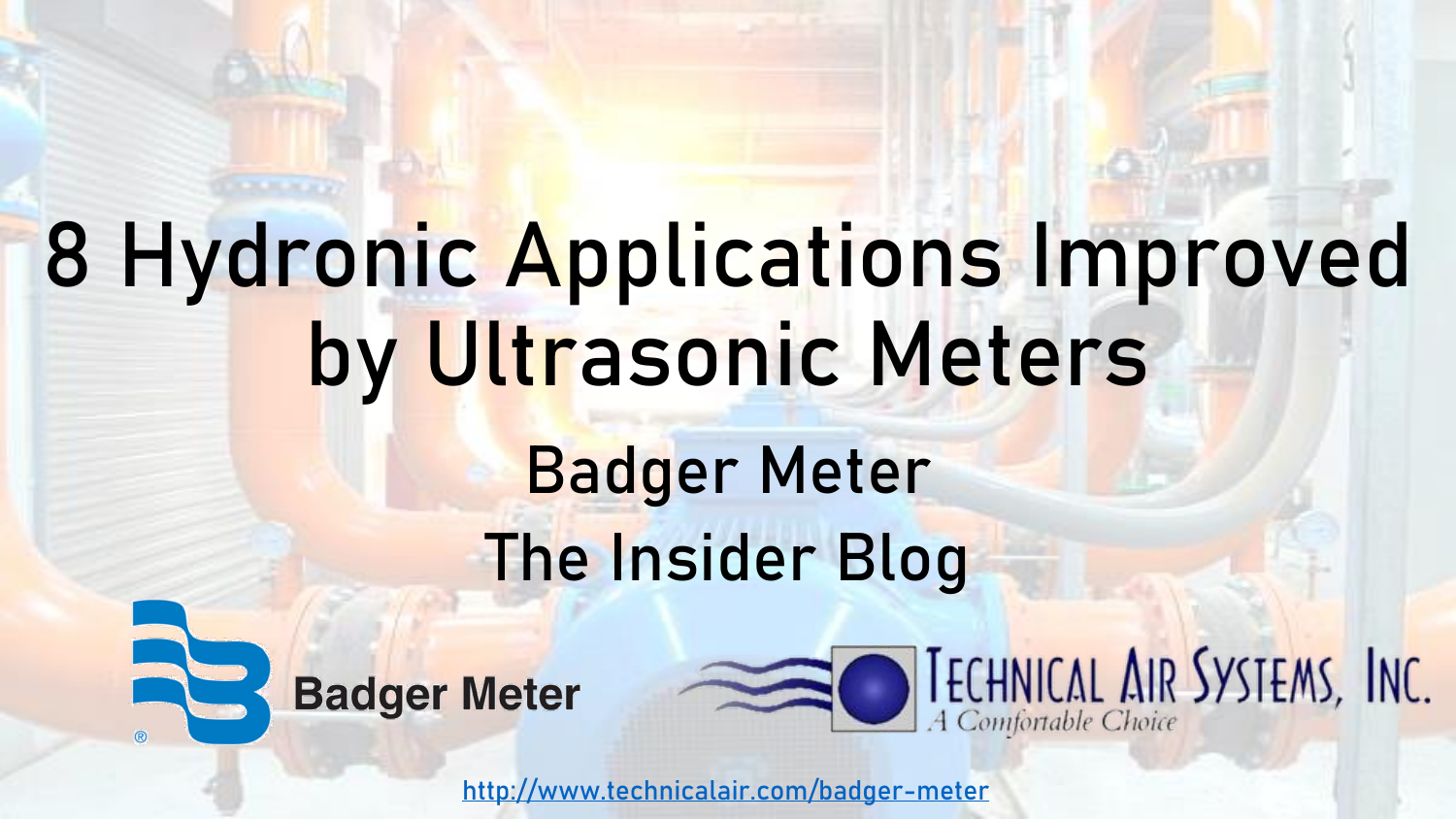# 8 Hydronic Applications Improved by Ultrasonic Meters

# Badger Meter The Insider Blog





<http://www.technicalair.com/badger-meter>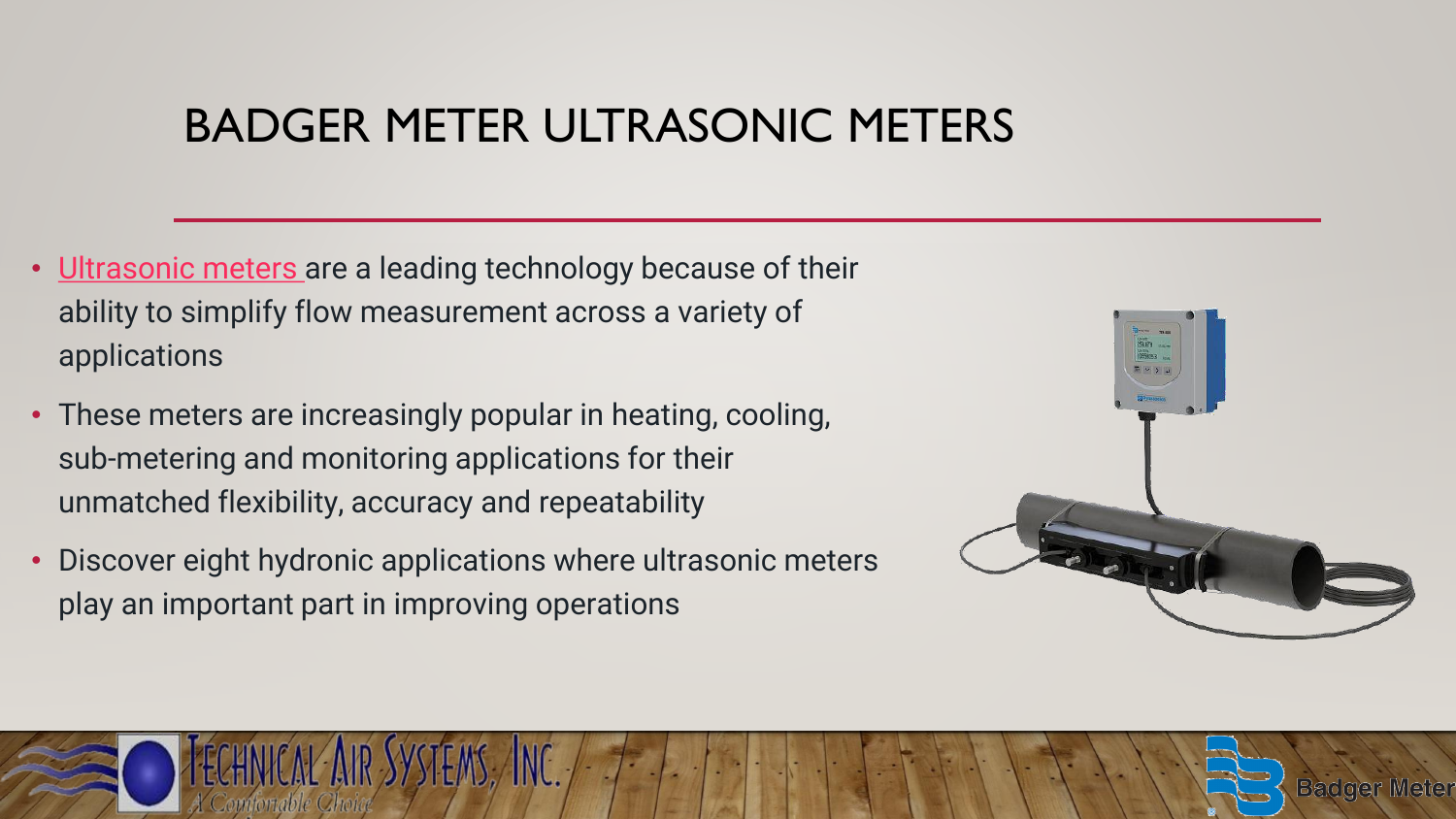# BADGER METER ULTRASONIC METERS

- [Ultrasonic meters a](https://www.badgermeter.com/products/meters/ultrasonic-flow-meters/?bu=municipal)re a leading technology because of their ability to simplify flow measurement across a variety of applications
- These meters are increasingly popular in heating, cooling, sub-metering and monitoring applications for their unmatched flexibility, accuracy and repeatability
- Discover eight hydronic applications where ultrasonic meters play an important part in improving operations



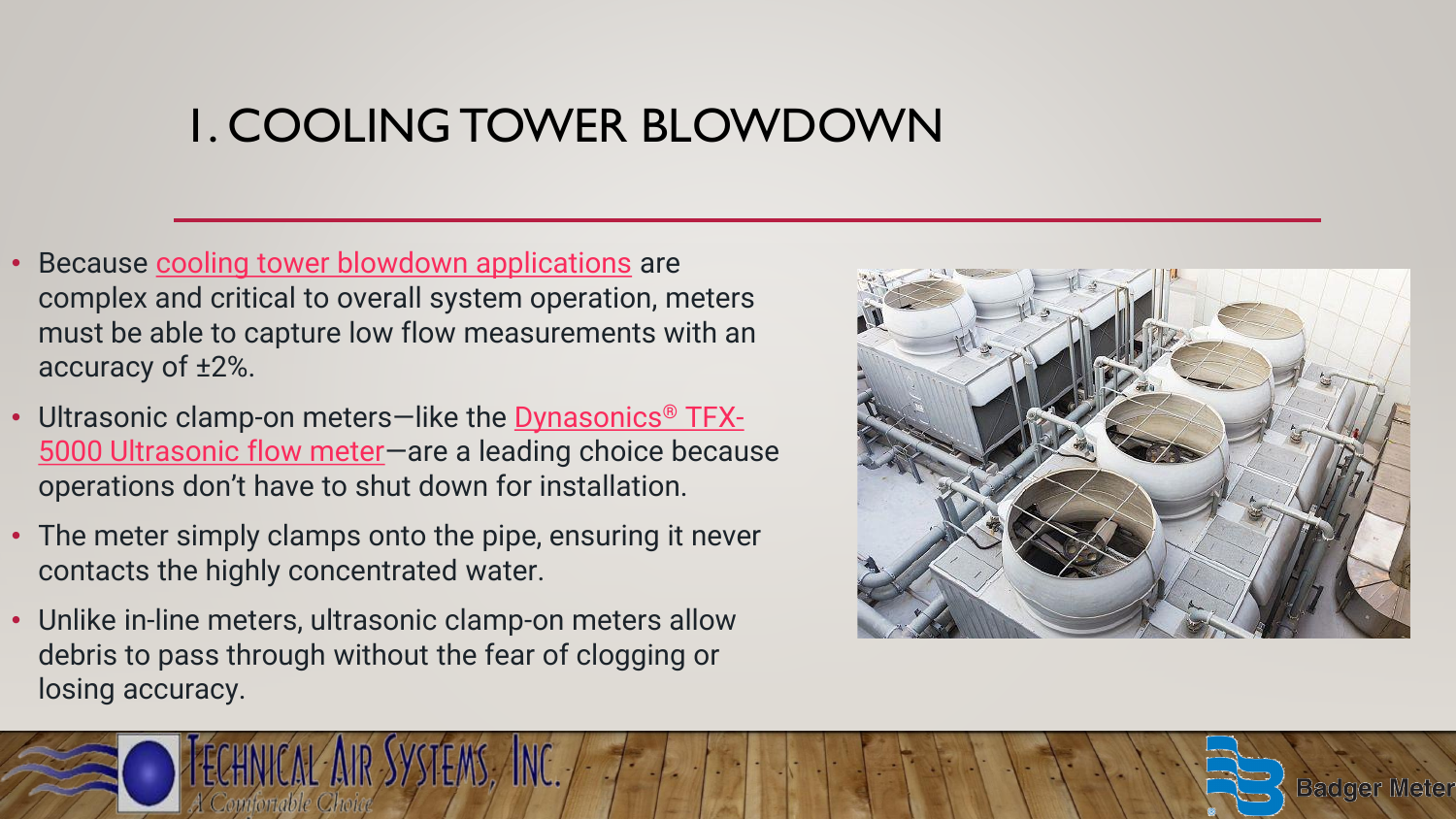# 1. COOLING TOWER BLOWDOWN

- Because [cooling tower blowdown applications](https://www.badgermeter.com/markets/building-design-hvac-plumbing/heating-ventilation-and-air-conditioning-hvac/cooling-tower-blowdown/) are complex and critical to overall system operation, meters must be able to capture low flow measurements with an accuracy of ±2%.
- [Ultrasonic clamp-on meters](https://www.badgermeter.com/products/meters/ultrasonic-flow-meters/tfx-5000-ultrasonic-clamp-on-flow-meter/)-like the Dynasonics<sup>®</sup> TFX-5000 Ultrasonic flow meter—are a leading choice because operations don't have to shut down for installation.
- The meter simply clamps onto the pipe, ensuring it never contacts the highly concentrated water.
- Unlike in-line meters, ultrasonic clamp-on meters allow debris to pass through without the fear of clogging or losing accuracy.

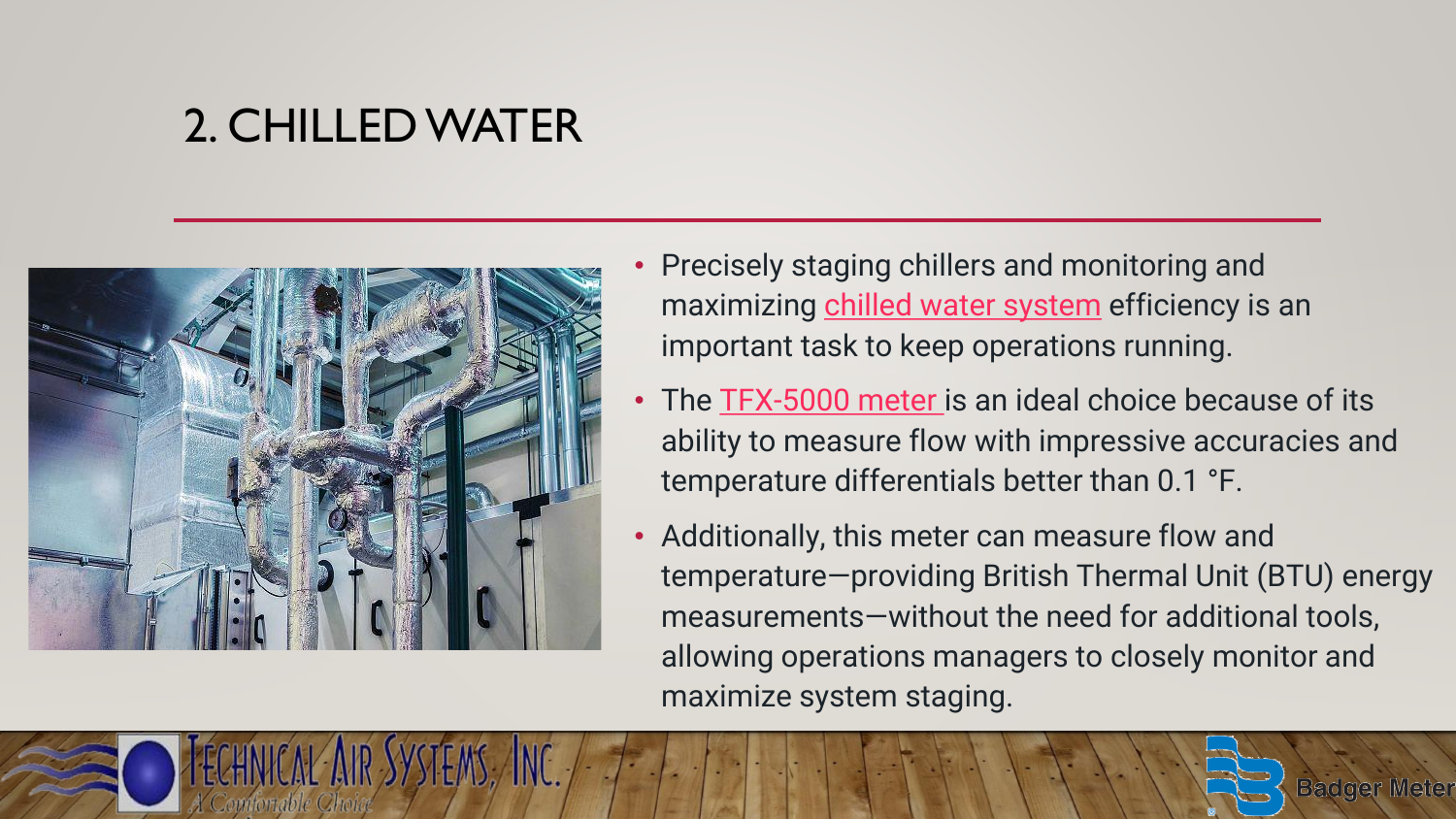# 2. CHILLED WATER



- Precisely staging chillers and monitoring and maximizing [chilled water system](https://www.badgermeter.com/markets/building-design-hvac-plumbing/heating-ventilation-and-air-conditioning-hvac/chilled-water/) efficiency is an important task to keep operations running.
- The [TFX-5000 meter i](https://www.badgermeter.com/products/meters/ultrasonic-flow-meters/tfx-5000-ultrasonic-clamp-on-flow-meter/)s an ideal choice because of its ability to measure flow with impressive accuracies and temperature differentials better than 0.1 °F.
- Additionally, this meter can measure flow and temperature—providing British Thermal Unit (BTU) energy measurements—without the need for additional tools, allowing operations managers to closely monitor and maximize system staging.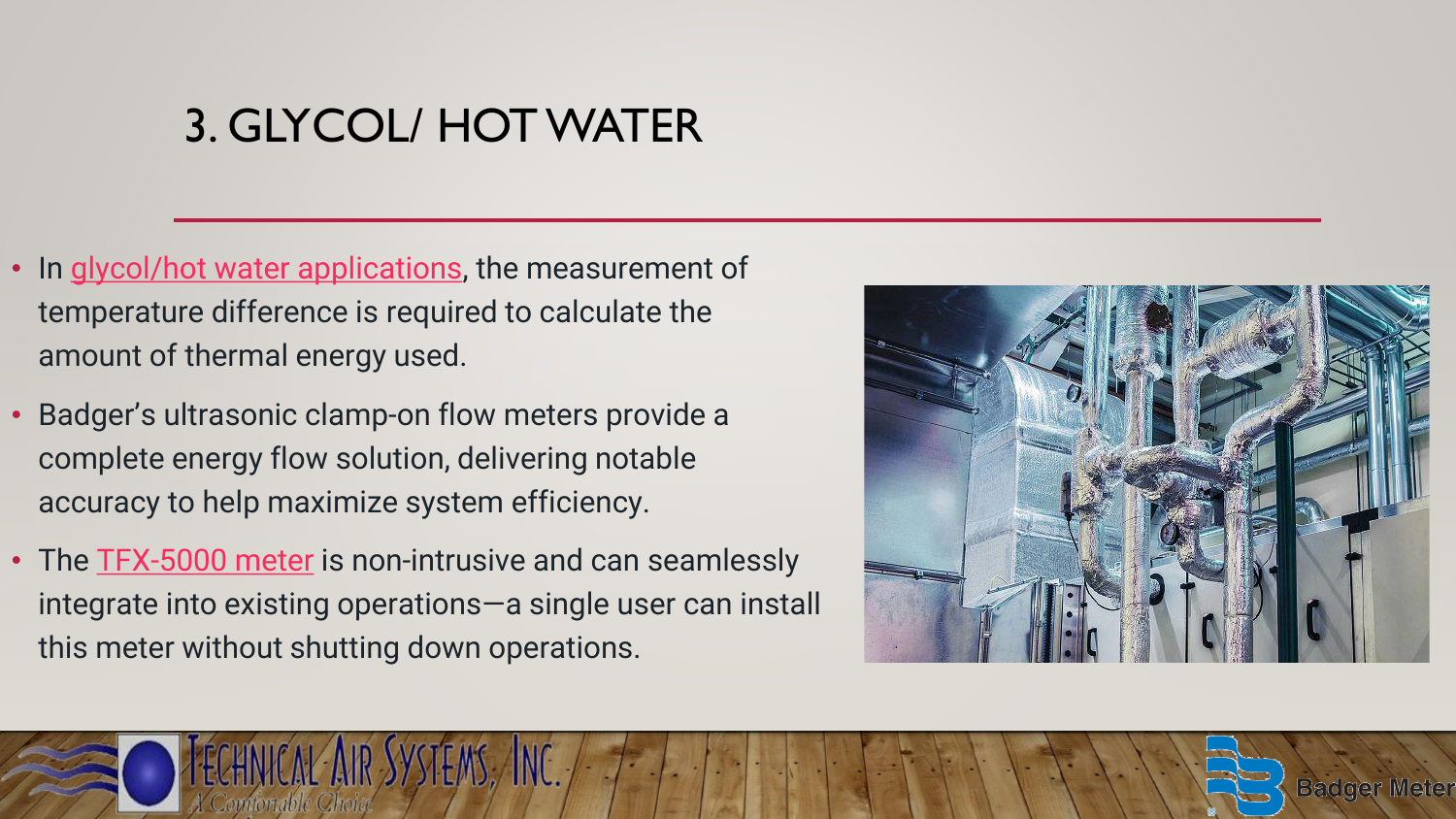# 3. GLYCOL/ HOT WATER

- In [glycol/hot water applications,](https://www.badgermeter.com/markets/building-design-hvac-plumbing/heating-ventilation-and-air-conditioning-hvac/glycol-hot-water/) the measurement of temperature difference is required to calculate the amount of thermal energy used.
- Badger's ultrasonic clamp-on flow meters provide a complete energy flow solution, delivering notable accuracy to help maximize system efficiency.
- The **[TFX-5000 meter](https://www.badgermeter.com/products/meters/ultrasonic-flow-meters/tfx-5000-ultrasonic-clamp-on-flow-meter/)** is non-intrusive and can seamlessly integrate into existing operations—a single user can install this meter without shutting down operations.

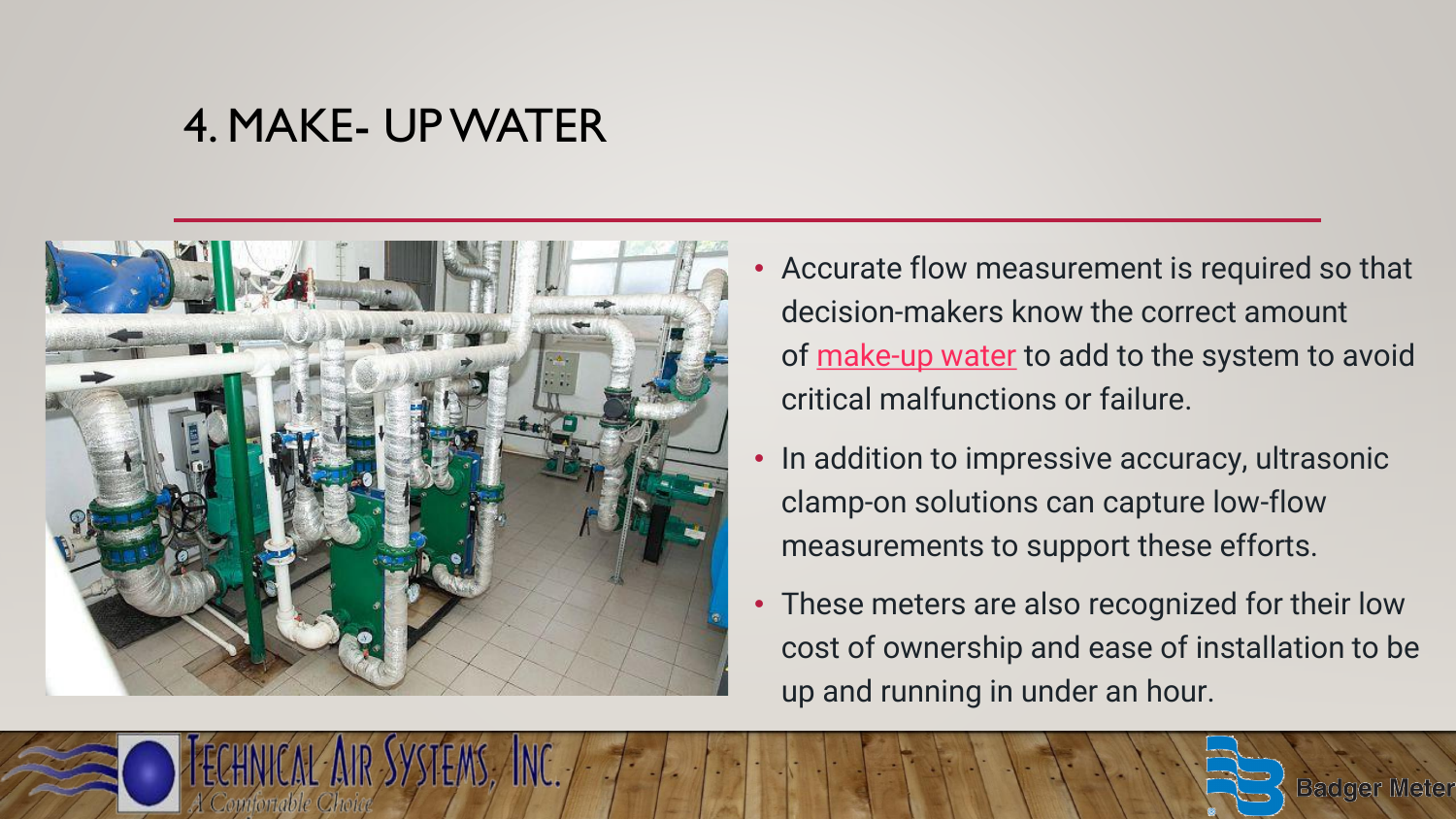#### 4. MAKE- UP WATER



- Accurate flow measurement is required so that decision-makers know the correct amount of [make-up water](https://www.badgermeter.com/markets/building-design-hvac-plumbing/heating-ventilation-and-air-conditioning-hvac/makeup-water/) to add to the system to avoid critical malfunctions or failure.
- In addition to impressive accuracy, ultrasonic clamp-on solutions can capture low-flow measurements to support these efforts.
- These meters are also recognized for their low cost of ownership and ease of installation to be up and running in under an hour.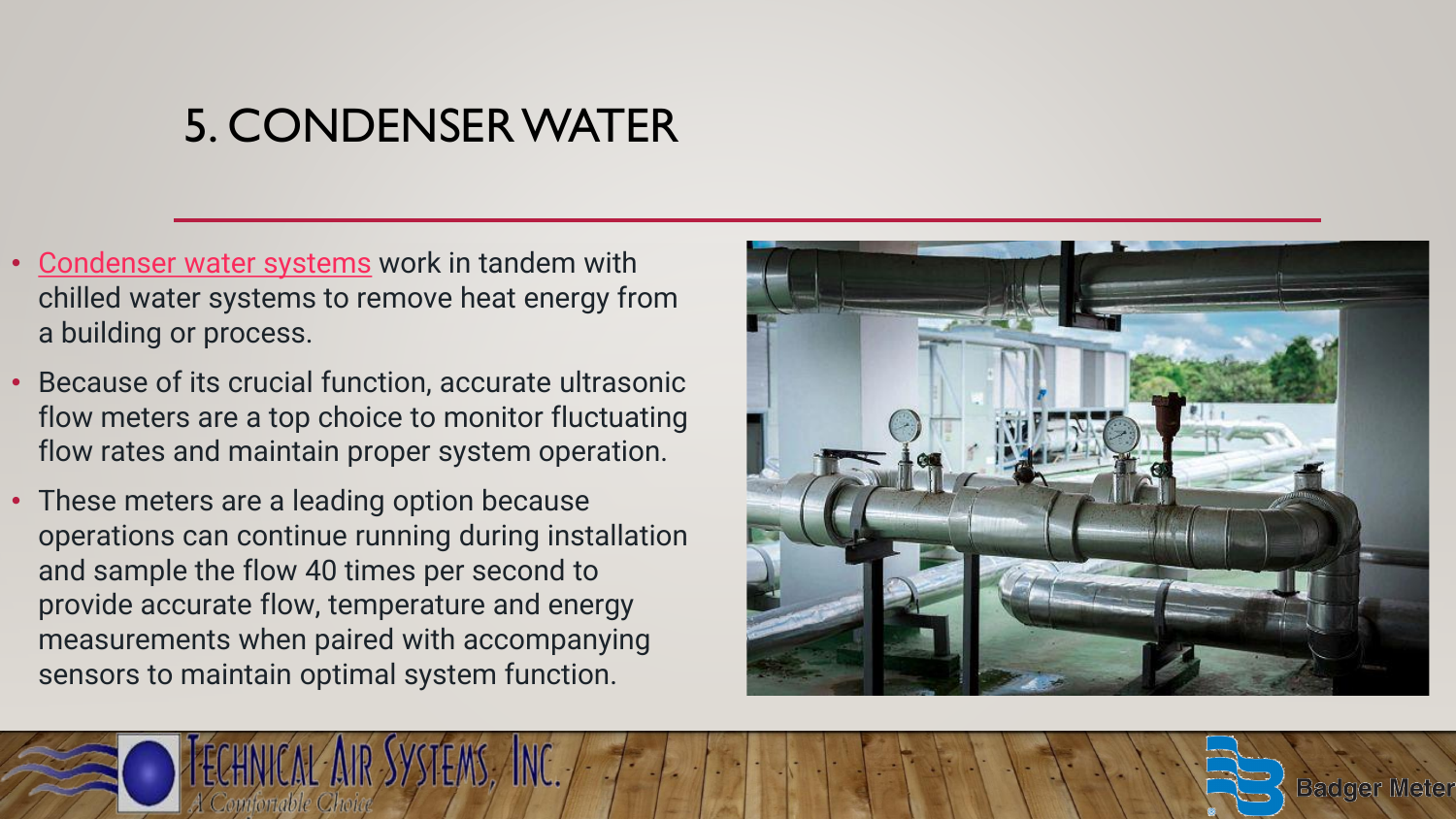# 5. CONDENSER WATER

- [Condenser water systems](https://www.badgermeter.com/markets/building-design-hvac-plumbing/heating-ventilation-and-air-conditioning-hvac/condenser-water/) work in tandem with chilled water systems to remove heat energy from a building or process.
- Because of its crucial function, accurate ultrasonic flow meters are a top choice to monitor fluctuating flow rates and maintain proper system operation.
- These meters are a leading option because operations can continue running during installation and sample the flow 40 times per second to provide accurate flow, temperature and energy measurements when paired with accompanying sensors to maintain optimal system function.

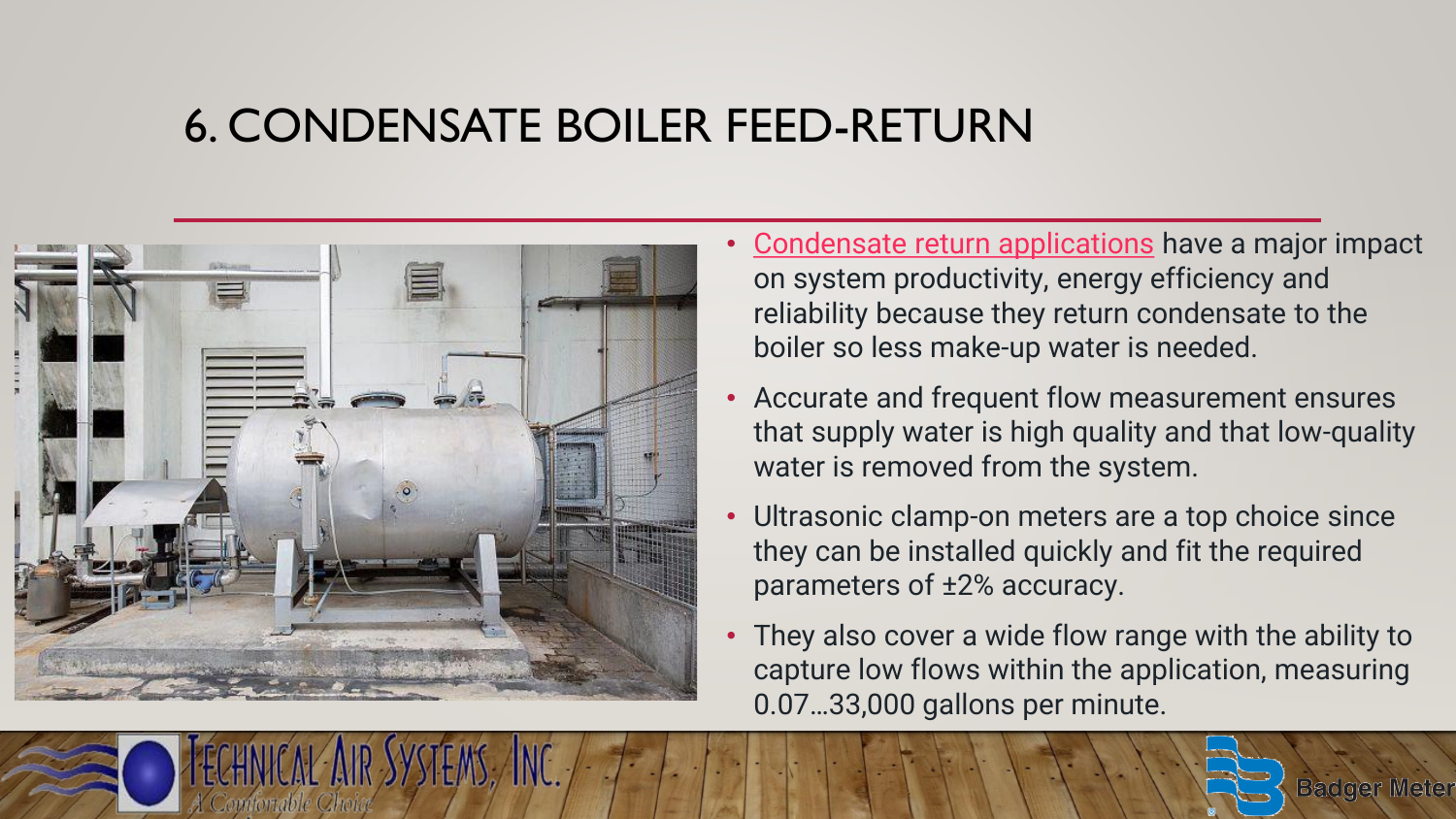#### 6. CONDENSATE BOILER FEED-RETURN



- [Condensate return applications](https://www.badgermeter.com/markets/building-design-hvac-plumbing/heating-ventilation-and-air-conditioning-hvac/condensate-boiler-feed-return/) have a major impact on system productivity, energy efficiency and reliability because they return condensate to the boiler so less make-up water is needed.
- Accurate and frequent flow measurement ensures that supply water is high quality and that low-quality water is removed from the system.
- Ultrasonic clamp-on meters are a top choice since they can be installed quickly and fit the required parameters of ±2% accuracy.
- They also cover a wide flow range with the ability to capture low flows within the application, measuring 0.07…33,000 gallons per minute.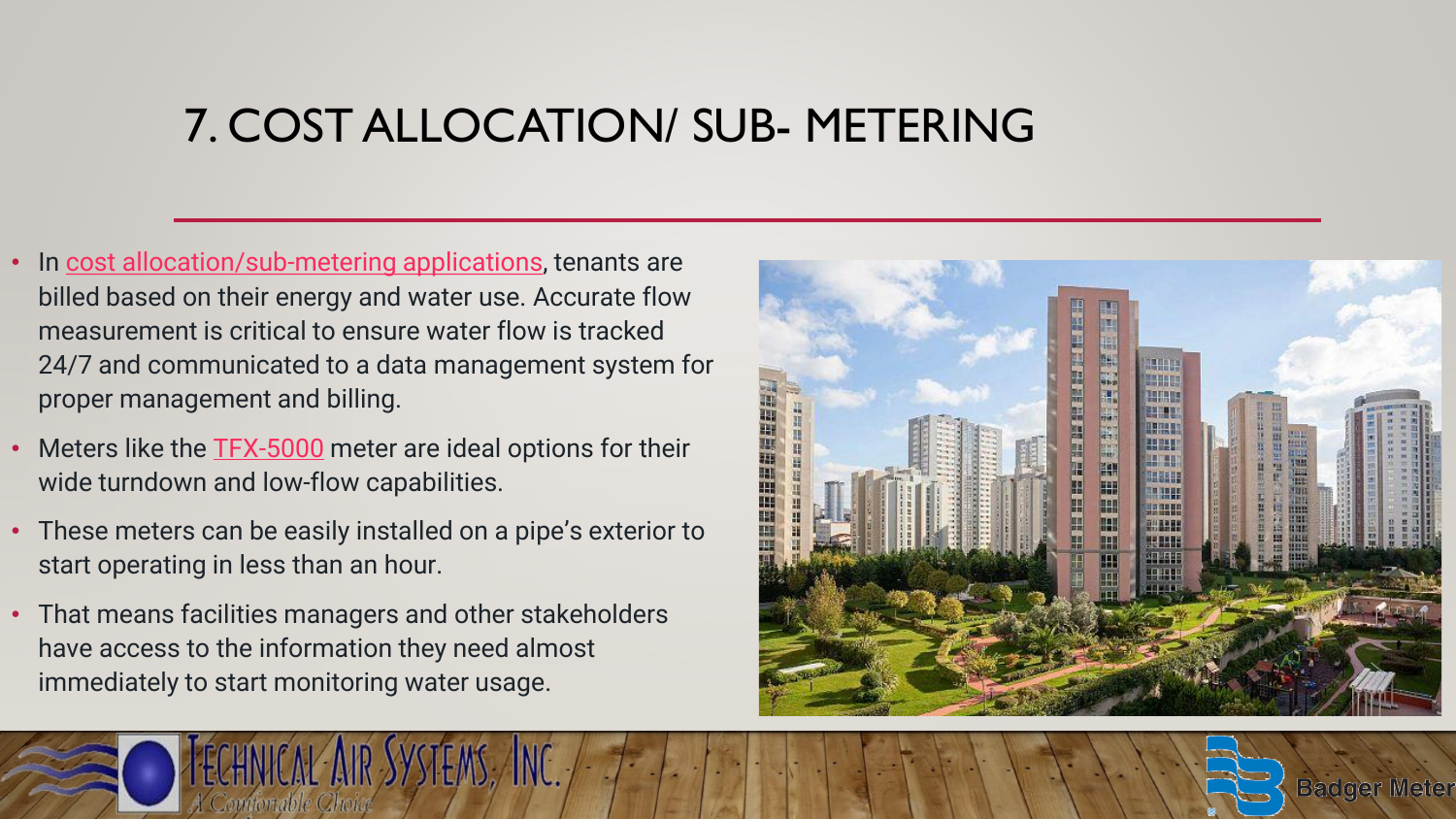#### 7. COST ALLOCATION/ SUB- METERING

- In [cost allocation/sub-metering applications](https://www.badgermeter.com/markets/building-design-hvac-plumbing/heating-ventilation-and-air-conditioning-hvac/cost-allocation/), tenants are billed based on their energy and water use. Accurate flow measurement is critical to ensure water flow is tracked 24/7 and communicated to a data management system for proper management and billing.
- Meters like the **[TFX-5000](https://www.badgermeter.com/products/meters/ultrasonic-flow-meters/tfx-5000-ultrasonic-clamp-on-flow-meter/)** meter are ideal options for their wide turndown and low-flow capabilities.
- These meters can be easily installed on a pipe's exterior to start operating in less than an hour.
- That means facilities managers and other stakeholders have access to the information they need almost immediately to start monitoring water usage.



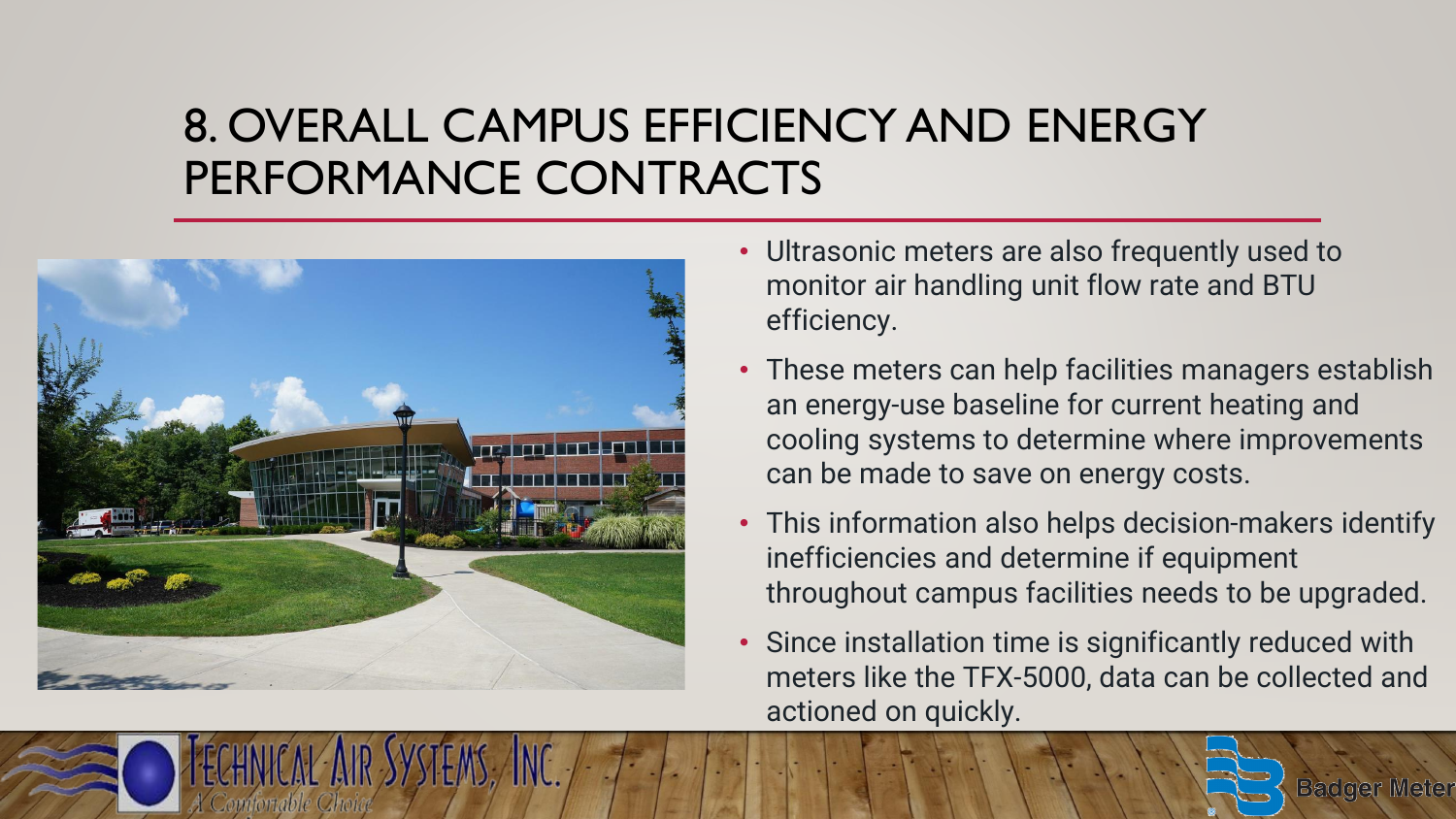# 8. OVERALL CAMPUS EFFICIENCY AND ENERGY PERFORMANCE CONTRACTS



- Ultrasonic meters are also frequently used to monitor air handling unit flow rate and BTU efficiency.
- These meters can help facilities managers establish an energy-use baseline for current heating and cooling systems to determine where improvements can be made to save on energy costs.
- This information also helps decision-makers identify inefficiencies and determine if equipment throughout campus facilities needs to be upgraded.
- Since installation time is significantly reduced with meters like the TFX-5000, data can be collected and actioned on quickly.